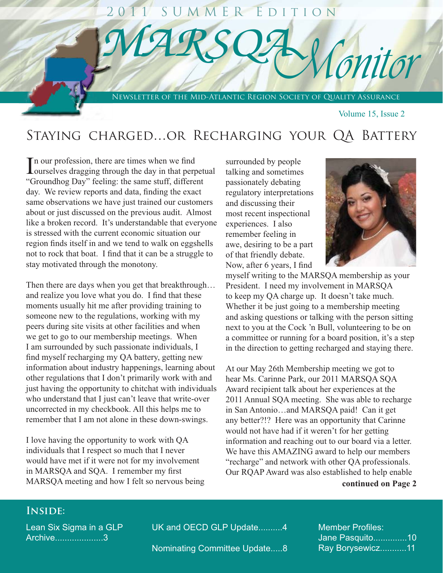# SUMMER EDITION Conitor NEWSLETTER OF THE MID-ATLANTIC REGION SOCIETY OF QUALITY ASSURANCE

Volume 15, Issue 2

# STAYING CHARGED...OR RECHARGING YOUR QA BATTERY

The our profession, there are times when we find Lourselves dragging through the day in that perpetual "Groundhog Day" feeling: the same stuff, different day. We review reports and data, finding the exact same observations we have just trained our customers about or just discussed on the previous audit. Almost like a broken record. It's understandable that everyone is stressed with the current economic situation our region finds itself in and we tend to walk on eggshells not to rock that boat. I find that it can be a struggle to stay motivated through the monotony.

Then there are days when you get that breakthrough... and realize you love what you do. I find that these moments usually hit me after providing training to someone new to the regulations, working with my peers during site visits at other facilities and when we get to go to our membership meetings. When I am surrounded by such passionate individuals, I find myself recharging my QA battery, getting new information about industry happenings, learning about other regulations that I don't primarily work with and just having the opportunity to chitchat with individuals who understand that I just can't leave that write-over uncorrected in my checkbook. All this helps me to remember that I am not alone in these down-swings.

I love having the opportunity to work with QA individuals that I respect so much that I never would have met if it were not for my involvement in MARSQA and SQA. I remember my first MARSQA meeting and how I felt so nervous being

surrounded by people talking and sometimes passionately debating regulatory interpretations and discussing their most recent inspectional experiences. I also remember feeling in awe, desiring to be a part of that friendly debate. Now, after 6 years, I find



myself writing to the MARSQA membership as your President. I need my involvement in MARSQA to keep my QA charge up. It doesn't take much. Whether it be just going to a membership meeting and asking questions or talking with the person sitting next to you at the Cock 'n Bull, volunteering to be on a committee or running for a board position, it's a step in the direction to getting recharged and staying there.

At our May 26th Membership meeting we got to hear Ms. Carinne Park, our 2011 MARSQA SQA Award recipient talk about her experiences at the 2011 Annual SQA meeting. She was able to recharge in San Antonio...and MARSQA paid! Can it get any better?!? Here was an opportunity that Carinne would not have had if it weren't for her getting information and reaching out to our board via a letter. We have this AMAZING award to help our members "recharge" and network with other QA professionals. Our RQAP Award was also established to help enable

### continued on Page 2

## **INSIDE:**

Lean Six Sigma in a GLP Archive....................3

UK and OECD GLP Update..........4

Nominating Committee Update.....8

**Member Profiles:** Jane Pasquito..............10 Ray Borysewicz...........11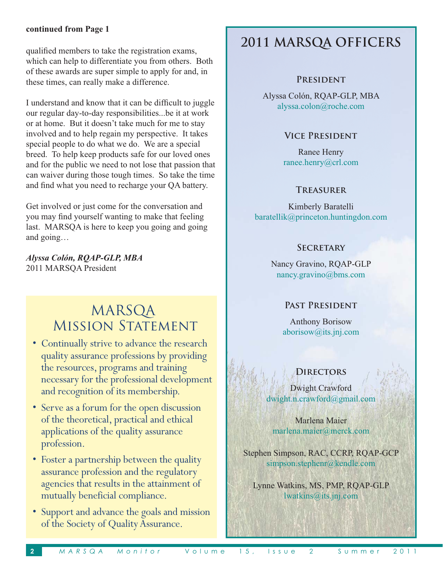### **continued from Page 1**

qualified members to take the registration exams. which can help to differentiate you from others. Both of these awards are super simple to apply for and, in these times, can really make a difference.

I understand and know that it can be difficult to juggle our regular day-to-day responsibilities...be it at work or at home. But it doesn't take much for me to stay involved and to help regain my perspective. It takes special people to do what we do. We are a special  $\frac{1}{2}$  on  $\frac{1}{2}$  and  $\frac{1}{2}$  are products safe for our loved ones and for the public we need to not lose that passion that can waiver during those tough times. So take the time and find what you need to recharge your OA battery.

Get involved or just come for the conversation and vou may find vourself wanting to make that feeling  $\overline{a}$  last. MARSOA is here to keep you going and going and  $\varrho$ oing...

*Alyssa Colón, RQAP-GLP, MBA* 2011 MARSOA President

# MARSQA MISSION STATEMENT

- Continually strive to advance the research quality assurance professions by providing the resources, programs and training necessary for the professional development and recognition of its membership.
- Serve as a forum for the open discussion of the theoretical, practical and ethical applications of the quality assurance profession.
- Foster a partnership between the quality assurance profession and the regulatory agencies that results in the attainment of mutually beneficial compliance.
- Support and advance the goals and mission of the Society of Quality Assurance.

# **2011 MARSQA OFFICERS**

### **President**

Alyssa Colón, ROAP-GLP, MBA alyssa.colon@roche.com

### **Vice President**

Ranee Henry ranee.henry@crl.com

### **Treasurer**

Kimberly Baratelli  $baratelli k@princeton.hunting don.com$ 

### **Secretary**

Nancy Gravino, ROAP-GLP  $n$ ancy.gravino@bms.com

### **Past President**

**Anthony Borisow**  $aborisow@its.ini.com$ 

### **Directors**

Dwight Crawford dwight.n.crawford@gmail.com

Marlena Maier  $\text{marlena}.\text{maier}(\widehat{a}\text{merck}.\text{com}$ 

Stephen Simpson, RAC, CCRP, ROAP-GCP  $\sin$ mpson.stephenr@kendle.com

Lynne Watkins, MS, PMP, ROAP-GLP lwatkins@its.ini.com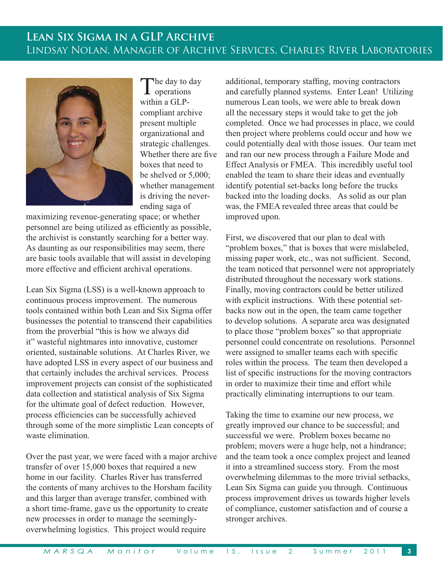# **LEAN SIX SIGMA IN A GLP ARCHIVE** LINDSAY NOLAN, MANAGER OF ARCHIVE SERVICES, CHARLES RIVER LABORATORIES



The day to day **L** operations within a GLPcompliant archive present multiple organizational and strategic challenges. Whether there are five boxes that need to be shelved or 5,000: whether management is driving the neverending saga of

maximizing revenue-generating space; or whether personnel are being utilized as efficiently as possible, the archivist is constantly searching for a better way. As daunting as our responsibilities may seem, there are basic tools available that will assist in developing more effective and efficient archival operations.

Lean Six Sigma (LSS) is a well-known approach to continuous process improvement. The numerous tools contained within both Lean and Six Sigma offer businesses the potential to transcend their capabilities from the proverbial "this is how we always did it" wasteful nightmares into innovative, customer oriented, sustainable solutions. At Charles River, we have adopted LSS in every aspect of our business and that certainly includes the archival services. Process improvement projects can consist of the sophisticated data collection and statistical analysis of Six Sigma for the ultimate goal of defect reduction. However, process efficiencies can be successfully achieved through some of the more simplistic Lean concepts of waste elimination.

Over the past year, we were faced with a major archive transfer of over 15,000 boxes that required a new home in our facility. Charles River has transferred the contents of many archives to the Horsham facility and this larger than average transfer, combined with a short time-frame, gave us the opportunity to create new processes in order to manage the seeminglyoverwhelming logistics. This project would require

additional, temporary staffing, moving contractors and carefully planned systems. Enter Lean! Utilizing numerous Lean tools, we were able to break down all the necessary steps it would take to get the job completed. Once we had processes in place, we could then project where problems could occur and how we could potentially deal with those issues. Our team met and ran our new process through a Failure Mode and Effect Analysis or FMEA. This incredibly useful tool enabled the team to share their ideas and eventually identify potential set-backs long before the trucks backed into the loading docks. As solid as our plan was, the FMEA revealed three areas that could be improved upon.

First, we discovered that our plan to deal with "problem boxes," that is boxes that were mislabeled, missing paper work, etc., was not sufficient. Second, the team noticed that personnel were not appropriately distributed throughout the necessary work stations. Finally, moving contractors could be better utilized with explicit instructions. With these potential setbacks now out in the open, the team came together to develop solutions. A separate area was designated to place those "problem boxes" so that appropriate personnel could concentrate on resolutions. Personnel were assigned to smaller teams each with specific roles within the process. The team then developed a list of specific instructions for the moving contractors in order to maximize their time and effort while practically eliminating interruptions to our team.

Taking the time to examine our new process, we greatly improved our chance to be successful; and successful we were. Problem boxes became no problem; movers were a huge help, not a hindrance; and the team took a once complex project and leaned it into a streamlined success story. From the most overwhelming dilemmas to the more trivial setbacks, Lean Six Sigma can guide you through. Continuous process improvement drives us towards higher levels of compliance, customer satisfaction and of course a stronger archives.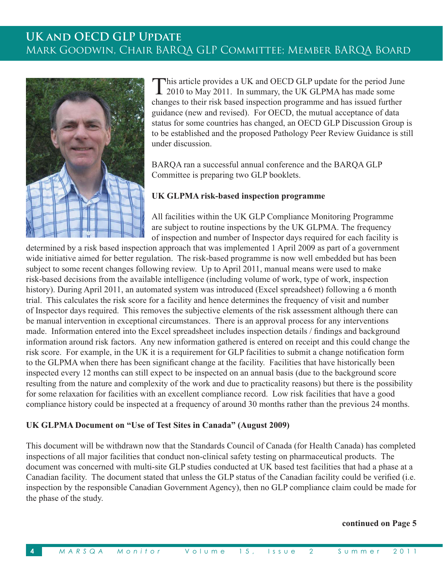# **UKAND OECD GLP UPDATE** MARK GOODWIN, CHAIR BARQA GLP COMMITTEE; MEMBER BARQA BOARD



This article provides a UK and OECD GLP update for the period June 1 2010 to May 2011. In summary, the UK GLPMA has made some changes to their risk based inspection programme and has issued further guidance (new and revised). For OECD, the mutual acceptance of data status for some countries has changed, an OECD GLP Discussion Group is to be established and the proposed Pathology Peer Review Guidance is still under discussion

BARQA ran a successful annual conference and the BARQA GLP Committee is preparing two GLP booklets.

### UK GLPMA risk-based inspection programme

All facilities within the UK GLP Compliance Monitoring Programme are subject to routine inspections by the UK GLPMA. The frequency of inspection and number of Inspector days required for each facility is

determined by a risk based inspection approach that was implemented 1 April 2009 as part of a government wide initiative aimed for better regulation. The risk-based programme is now well embedded but has been subject to some recent changes following review. Up to April 2011, manual means were used to make risk-based decisions from the available intelligence (including volume of work, type of work, inspection history). During April 2011, an automated system was introduced (Excel spreadsheet) following a 6 month trial. This calculates the risk score for a facility and hence determines the frequency of visit and number of Inspector days required. This removes the subjective elements of the risk assessment although there can be manual intervention in exceptional circumstances. There is an approval process for any interventions made. Information entered into the Excel spreadsheet includes inspection details / findings and background information around risk factors. Any new information gathered is entered on receipt and this could change the risk score. For example, in the UK it is a requirement for GLP facilities to submit a change notification form to the GLPMA when there has been significant change at the facility. Facilities that have historically been inspected every 12 months can still expect to be inspected on an annual basis (due to the background score resulting from the nature and complexity of the work and due to practicality reasons) but there is the possibility for some relaxation for facilities with an excellent compliance record. Low risk facilities that have a good compliance history could be inspected at a frequency of around 30 months rather than the previous 24 months.

### UK GLPMA Document on "Use of Test Sites in Canada" (August 2009)

This document will be withdrawn now that the Standards Council of Canada (for Health Canada) has completed inspections of all major facilities that conduct non-clinical safety testing on pharmaceutical products. The document was concerned with multi-site GLP studies conducted at UK based test facilities that had a phase at a Canadian facility. The document stated that unless the GLP status of the Canadian facility could be verified (i.e. inspection by the responsible Canadian Government Agency), then no GLP compliance claim could be made for the phase of the study.

### continued on Page 5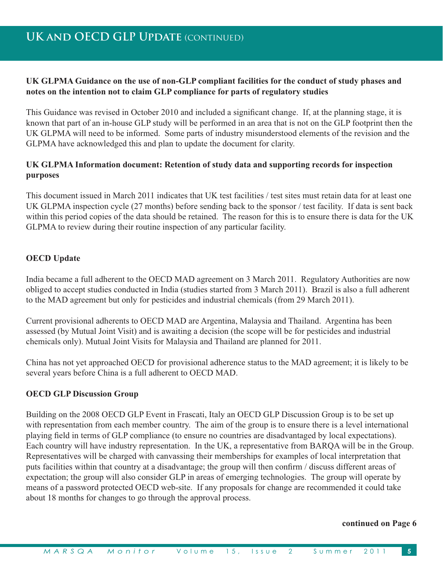### **UK GLPMA Guidance on the use of non-GLP compliant facilities for the conduct of study phases and notes on the intention not to claim GLP compliance for parts of regulatory studies**

This Guidance was revised in October 2010 and included a significant change. If, at the planning stage, it is known that part of an in-house GLP study will be performed in an area that is not on the GLP footprint then the UK GLPMA will need to be informed. Some parts of industry misunderstood elements of the revision and the GLPMA have acknowledged this and plan to update the document for clarity.

### **UK GLPMA Information document: Retention of study data and supporting records for inspection purposes**

This document issued in March 2011 indicates that UK test facilities / test sites must retain data for at least one UK GLPMA inspection cycle  $(27 \text{ months})$  before sending back to the sponsor / test facility. If data is sent back within this period copies of the data should be retained. The reason for this is to ensure there is data for the UK GLPMA to review during their routine inspection of any particular facility.

### **OECD Update**

India became a full adherent to the OECD MAD agreement on 3 March 2011. Regulatory Authorities are now obliged to accept studies conducted in India (studies started from 3 March 2011). Brazil is also a full adherent to the MAD agreement but only for pesticides and industrial chemicals (from 29 March 2011).

Current provisional adherents to OECD MAD are Argentina. Malaysia and Thailand. Argentina has been assessed (by Mutual Joint Visit) and is awaiting a decision (the scope will be for pesticides and industrial chemicals only). Mutual Joint Visits for Malaysia and Thailand are planned for  $2011$ .

China has not vet approached OECD for provisional adherence status to the MAD agreement; it is likely to be several vears before China is a full adherent to OECD MAD.

### **OECD GLP Discussion Group**

Building on the 2008 OECD GLP Event in Frascati, Italy an OECD GLP Discussion Group is to be set up with representation from each member country. The aim of the group is to ensure there is a level international playing field in terms of GLP compliance (to ensure no countries are disadvantaged by local expectations). Each country will have industry representation. In the UK, a representative from BAROA will be in the Group. Representatives will be charged with canvassing their memberships for examples of local interpretation that buts facilities within that country at a disadvantage: the group will then confirm / discuss different areas of expectation: the group will also consider GLP in areas of emerging technologies. The group will operate by means of a password protected OECD web-site. If any proposals for change are recommended it could take about 18 months for changes to go through the approval process.

### **continued on Page 6**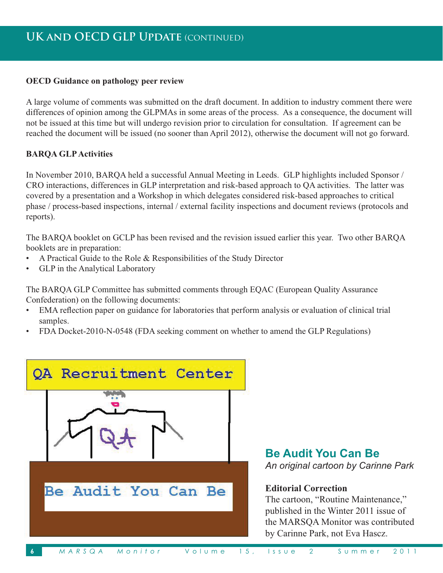### **OECD** Guidance on pathology peer review

A large volume of comments was submitted on the draft document. In addition to industry comment there were differences of opinion among the GLPMAs in some areas of the process. As a consequence, the document will not be issued at this time but will undergo revision prior to circulation for consultation. If agreement can be reached the document will be issued (no sooner than April 2012), otherwise the document will not go forward.

### **BARQA GLP Activities**

In November 2010, BARQA held a successful Annual Meeting in Leeds. GLP highlights included Sponsor / CRO interactions, differences in GLP interpretation and risk-based approach to QA activities. The latter was covered by a presentation and a Workshop in which delegates considered risk-based approaches to critical phase / process-based inspections, internal / external facility inspections and document reviews (protocols and reports).

The BARQA booklet on GCLP has been revised and the revision issued earlier this year. Two other BARQA booklets are in preparation:

- A Practical Guide to the Role & Responsibilities of the Study Director  $\bullet$
- GLP in the Analytical Laboratory  $\bullet$

The BARQA GLP Committee has submitted comments through EQAC (European Quality Assurance Confederation) on the following documents:

- EMA reflection paper on guidance for laboratories that perform analysis or evaluation of clinical trial  $\bullet$ samples.
- FDA Docket-2010-N-0548 (FDA seeking comment on whether to amend the GLP Regulations)



**Be Audit You Can Be** 

An original cartoon by Carinne Park

### **Editorial Correction**

The cartoon, "Routine Maintenance," published in the Winter 2011 issue of the MARSQA Monitor was contributed by Carinne Park, not Eva Hascz.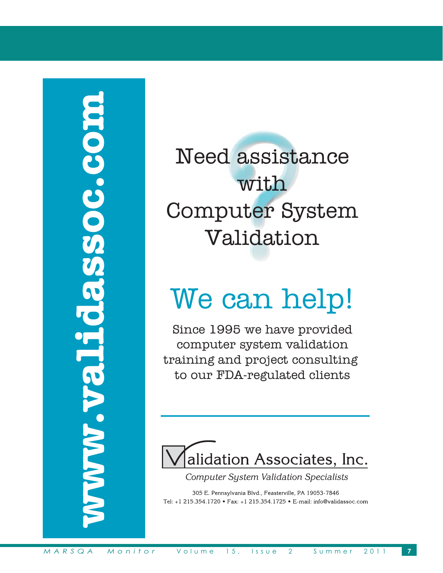# NVVV-Validassoc.com

Need assistance with Computer System Validation

# We can help!

Since 1995 we have provided computer system validation training and project consulting to our FDA-regulated clients



**Computer System Validation Specialists** 

305 E. Pennsylvania Blvd., Feasterville, PA 19053-7846 Tel: +1 215.354.1720 • Fax: +1 215.354.1725 • E-mail: info@validassoc.com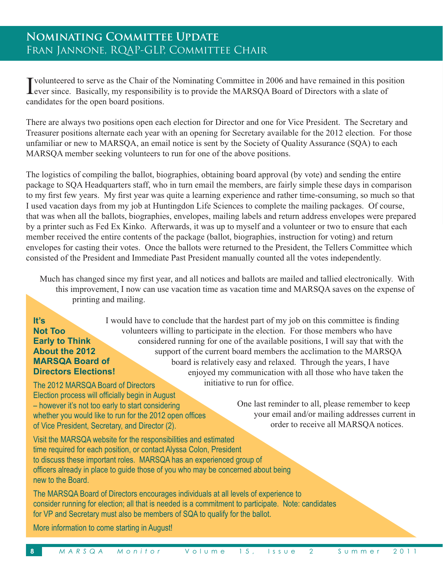# NOMINATING COMMITTEE UPDATE FRAN JANNONE, RQAP-GLP, COMMITTEE CHAIR

I volunteered to serve as the Chair of the Nominating Committee in 2006 and have remained in this position<br>Lever since. Basically, my responsibility is to provide the MARSQA Board of Directors with a slate of candidates for the open board positions.

There are always two positions open each election for Director and one for Vice President. The Secretary and Treasurer positions alternate each year with an opening for Secretary available for the 2012 election. For those unfamiliar or new to MARSQA, an email notice is sent by the Society of Quality Assurance (SQA) to each MARSOA member seeking volunteers to run for one of the above positions.

The logistics of compiling the ballot, biographies, obtaining board approval (by vote) and sending the entire package to SQA Headquarters staff, who in turn email the members, are fairly simple these days in comparison to my first few years. My first year was quite a learning experience and rather time-consuming, so much so that I used vacation days from my job at Huntingdon Life Sciences to complete the mailing packages. Of course, that was when all the ballots, biographies, envelopes, mailing labels and return address envelopes were prepared by a printer such as Fed Ex Kinko. Afterwards, it was up to myself and a volunteer or two to ensure that each member received the entire contents of the package (ballot, biographies, instruction for voting) and return envelopes for casting their votes. Once the ballots were returned to the President, the Tellers Committee which consisted of the President and Immediate Past President manually counted all the votes independently.

Much has changed since my first year, and all notices and ballots are mailed and tallied electronically. With this improvement, I now can use vacation time as vacation time and MARSQA saves on the expense of printing and mailing.

### $H's$ **Not Too Early to Think About the 2012 MARSOA Board of Directors Elections!**

I would have to conclude that the hardest part of my job on this committee is finding volunteers willing to participate in the election. For those members who have considered running for one of the available positions, I will say that with the support of the current board members the acclimation to the MARSOA board is relatively easy and relaxed. Through the years, I have enjoyed my communication with all those who have taken the initiative to run for office.

The 2012 MARSOA Board of Directors Election process will officially begin in August - however it's not too early to start considering whether you would like to run for the 2012 open offices of Vice President, Secretary, and Director (2).

One last reminder to all, please remember to keep your email and/or mailing addresses current in order to receive all MARSQA notices.

Visit the MARSQA website for the responsibilities and estimated time required for each position, or contact Alyssa Colon, President to discuss these important roles. MARSQA has an experienced group of officers already in place to guide those of you who may be concerned about being new to the Board.

The MARSQA Board of Directors encourages individuals at all levels of experience to consider running for election; all that is needed is a commitment to participate. Note: candidates for VP and Secretary must also be members of SQA to qualify for the ballot.

More information to come starting in August!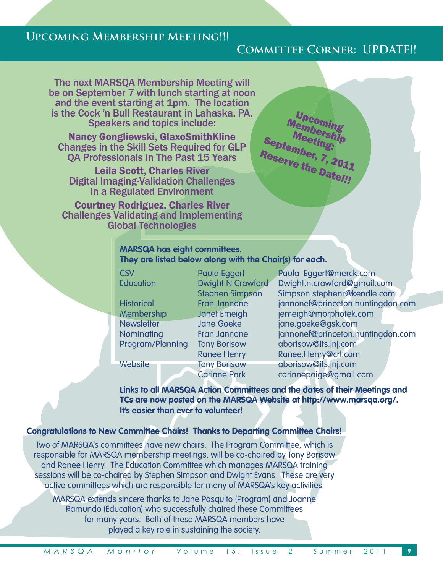# **Upcoming Membership Meeting!!!**

# **Committee Corner: UPDATE!!**

The next MARSQA Membership Meeting will be on September 7 with lunch starting at noon and the event starting at 1pm. The location is the Cock 'n Bull Restaurant in Lahaska, PA. Speakers and topics include:

Nancy Gongliewski, GlaxoSmithKline Changes in the Skill Sets Required for GLP QA Professionals In The Past 15 Years

Leila Scott, Charles River Digital Imaging-Validation Challenges in a Regulated Environment

Courtney Rodriguez, Charles River Challenges Validating and Implementing Global Technologies

Upcoming Membership Meeting:<br>September, 7, 2011<br><sup>Reserve</sup> the 2011 Reserve the Date!!!

### **MARSQA has eight committees. They are listed below along with the Chair(s) for each.**

| <b>CSV</b>        |  | Paula Eggert             | Paula_Eggert@merck.com            |  |
|-------------------|--|--------------------------|-----------------------------------|--|
| Education         |  | <b>Dwight N Crawford</b> | Dwight.n.crawford@gmail.com       |  |
|                   |  | <b>Stephen Simpson</b>   | Simpson.stephenr@kendle.com       |  |
| <b>Historical</b> |  | <b>Fran Jannone</b>      | jannonef@princefon.huntingdon.com |  |
| Membership        |  | <b>Janet Emeigh</b>      | jemeigh@morphotek.com             |  |
| <b>Newsletter</b> |  | <b>Jane Goeke</b>        | jane.goeke@gsk.com                |  |
| Nominating        |  | <b>Fran Jannone</b>      | jannonef@princeton.huntingdon.com |  |
| Program/Planning  |  | <b>Tony Borisow</b>      | aborisow@its.jnj.com              |  |
|                   |  | <b>Ranee Henry</b>       | Ranee.Henry@crl.com               |  |
| <b>Website</b>    |  | <b>Tony Borisow</b>      | aborisow@its.jnj.com              |  |
|                   |  | <b>Carinne Park</b>      | carinnepaige@gmail.com            |  |
|                   |  |                          |                                   |  |

**Links to all MARSQA Action Committees and the dates of their Meetings and TCs are now posted on the MARSQA Website at http://www.marsqa.org/. It's easier than ever to volunteer!** 

### **Congratulations to New Committee Chairs! Thanks to Departing Committee Chairs!**

Two of MARSQA's committees have new chairs. The Program Committee, which is responsible for MARSQA membership meetings, will be co-chaired by Tony Borisow and Ranee Henry. The Education Committee which manages MARSQA training sessions will be co-chaired by Stephen Simpson and Dwight Evans. These are very active committees which are responsible for many of MARSQA's key activities.

MARSQA extends sincere thanks to Jane Pasquito (Program) and Joanne Ramundo (Education) who successfully chaired these Committees for many years. Both of these MARSQA members have played a key role in sustaining the society.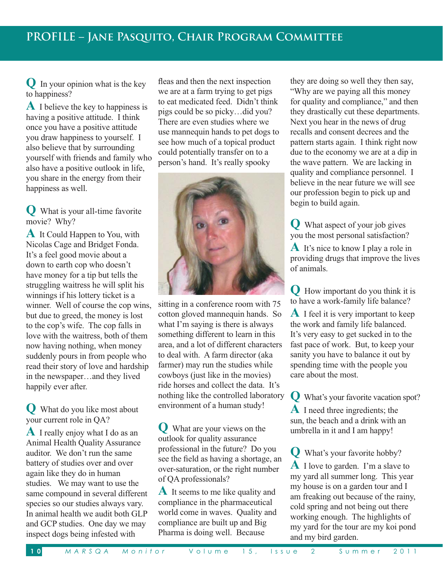$\mathbf{O}$  In your opinion what is the key to happiness?

**A** I believe the key to happiness is having a positive attitude. I think once you have a positive attitude you draw happiness to yourself. I also believe that by surrounding yourself with friends and family who also have a positive outlook in life. you share in the energy from their happiness as well.

**Q** What is your all-time favorite movie? Why?

**A** It Could Happen to You, with Nicolas Cage and Bridget Fonda. It's a feel good movie about a down to earth cop who doesn't have money for a tip but tells the struggling waitress he will split his winnings if his lottery ticket is a winner. Well of course the cop wins, but due to greed, the money is lost to the cop's wife. The cop falls in love with the waitress, both of them now having nothing, when money suddenly pours in from people who read their story of love and hardship in the newspaper...and they lived happily ever after.

What do you like most about your current role in QA?

**A** I really enjoy what I do as an Animal Health Ouality Assurance auditor. We don't run the same battery of studies over and over again like they do in human studies. We may want to use the same compound in several different species so our studies always vary. In animal health we audit both GLP and GCP studies. One day we may inspect dogs being infested with

fleas and then the next inspection we are at a farm trying to get pigs to eat medicated feed. Didn't think pigs could be so picky...did you? There are even studies where we use mannequin hands to pet dogs to see how much of a topical product could potentially transfer on to a person's hand. It's really spooky



sitting in a conference room with 75 cotton gloved mannequin hands. So what I'm saying is there is always something different to learn in this area, and a lot of different characters to deal with. A farm director (aka farmer) may run the studies while cowboys (just like in the movies) ride horses and collect the data. It's nothing like the controlled laboratory environment of a human study!

What are your views on the outlook for quality assurance professional in the future? Do you see the field as having a shortage, an over-saturation, or the right number of QA professionals?

**A** It seems to me like quality and compliance in the pharmaceutical world come in waves. Quality and compliance are built up and Big Pharma is doing well. Because

they are doing so well they then say, "Why are we paying all this money" for quality and compliance," and then they drastically cut these departments. Next you hear in the news of drug recalls and consent decrees and the pattern starts again. I think right now due to the economy we are at a dip in the wave pattern. We are lacking in quality and compliance personnel. I believe in the near future we will see our profession begin to pick up and begin to build again.

**Q** What aspect of your job gives you the most personal satisfaction?

**A** It's nice to know I play a role in providing drugs that improve the lives of animals.

**Q** How important do you think it is to have a work-family life balance?

**A** I feel it is very important to keep the work and family life balanced. It's very easy to get sucked in to the fast pace of work. But, to keep your sanity you have to balance it out by spending time with the people you care about the most.

**Q** What's your favorite vacation spot? **A** I need three ingredients; the sun, the beach and a drink with an umbrella in it and I am happy!

**Q** What's your favorite hobby?  $\bf{A}$  I love to garden. I'm a slave to my yard all summer long. This year my house is on a garden tour and I am freaking out because of the rainy, cold spring and not being out there working enough. The highlights of my yard for the tour are my koi pond and my bird garden.